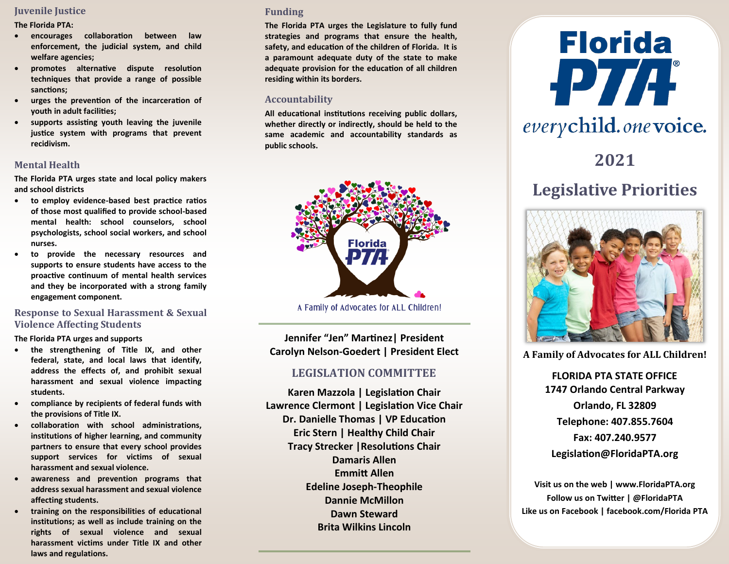# **Juvenile Justice**

**The Florida PTA:**

- **encourages collaboration between law enforcement, the judicial system, and child welfare agencies;**
- **promotes alternative dispute resolution techniques that provide a range of possible sanctions;**
- **urges the prevention of the incarceration of youth in adult facilities;**
- **supports assisting youth leaving the juvenile justice system with programs that prevent recidivism.**

# **Mental Health**

**The Florida PTA urges state and local policy makers and school districts** 

- **to employ evidence-based best practice ratios of those most qualified to provide school-based mental health: school counselors, school psychologists, school social workers, and school nurses.**
- **to provide the necessary resources and supports to ensure students have access to the proactive continuum of mental health services and they be incorporated with a strong family engagement component.**

# **Response to Sexual Harassment & Sexual Violence Affecting Students**

**The Florida PTA urges and supports** 

- **the strengthening of Title IX, and other federal, state, and local laws that identify, address the effects of, and prohibit sexual harassment and sexual violence impacting students.**
- **compliance by recipients of federal funds with the provisions of Title IX.**
- **collaboration with school administrations, institutions of higher learning, and community partners to ensure that every school provides support services for victims of sexual harassment and sexual violence.**
- **awareness and prevention programs that address sexual harassment and sexual violence affecting students.**
- **training on the responsibilities of educational institutions; as well as include training on the rights of sexual violence and sexual harassment victims under Title IX and other laws and regulations.**

#### **Funding**

**The Florida PTA urges the Legislature to fully fund strategies and programs that ensure the health, safety, and education of the children of Florida. It is a paramount adequate duty of the state to make adequate provision for the education of all children residing within its borders.**

#### **Accountability**

**All educational institutions receiving public dollars, whether directly or indirectly, should be held to the same academic and accountability standards as public schools.**



A Family of Advocates for ALL Children!

**Jennifer "Jen" Martinez| President Carolyn Nelson-Goedert | President Elect**

# **LEGISLATION COMMITTEE**

**Karen Mazzola | Legislation Chair Lawrence Clermont | Legislation Vice Chair Dr. Danielle Thomas | VP Education Eric Stern | Healthy Child Chair Tracy Strecker |Resolutions Chair Damaris Allen Emmitt Allen Edeline Joseph-Theophile Dannie McMillon Dawn Steward Brita Wilkins Lincoln**



# **Legislative Priorities**



**A Family of Advocates for ALL Children!**

**FLORIDA PTA STATE OFFICE 1747 Orlando Central Parkway Orlando, FL 32809 Telephone: 407.855.7604 Fax: 407.240.9577 Legislation[@FloridaPTA.org](mailto:legislation@floridapta.org)**

**Visit us on the web | www.FloridaPTA.org Follow us on Twitter | @FloridaPTA Like us on Facebook | facebook.com/Florida PTA**